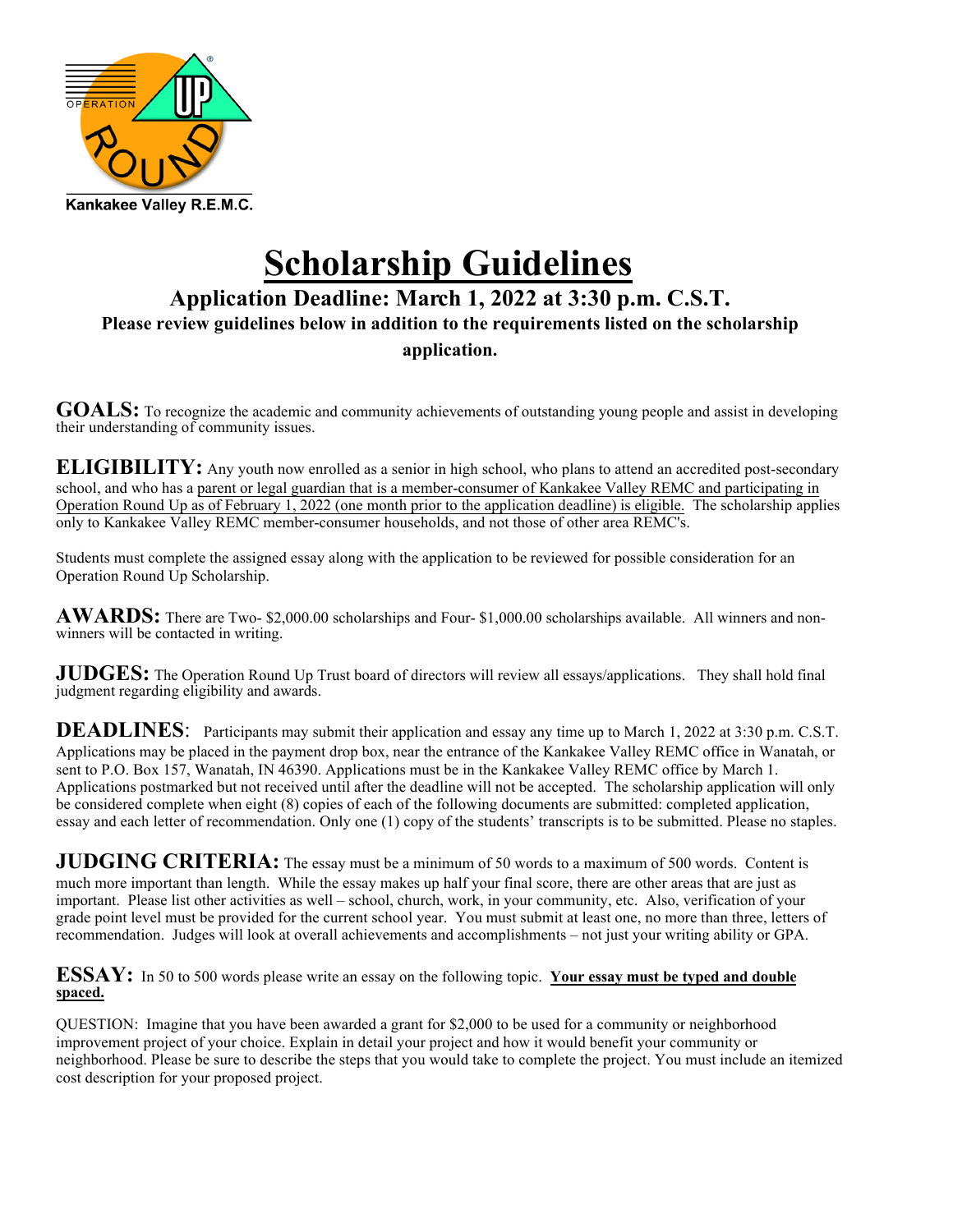

# **Scholarship Guidelines**

# **Application Deadline: March 1, 2022 at 3:30 p.m. C.S.T. Please review guidelines below in addition to the requirements listed on the scholarship application.**

**GOALS:** To recognize the academic and community achievements of outstanding young people and assist in developing their understanding of community issues.

**ELIGIBILITY:** Any youth now enrolled as a senior in high school, who plans to attend an accredited post-secondary school, and who has a parent or legal guardian that is a member-consumer of Kankakee Valley REMC and participating in Operation Round Up as of February 1, 2022 (one month prior to the application deadline) is eligible. The scholarship applies only to Kankakee Valley REMC member-consumer households, and not those of other area REMC's.

Students must complete the assigned essay along with the application to be reviewed for possible consideration for an Operation Round Up Scholarship.

**AWARDS:** There are Two- \$2,000.00 scholarships and Four- \$1,000.00 scholarships available. All winners and nonwinners will be contacted in writing.

**JUDGES:** The Operation Round Up Trust board of directors will review all essays/applications. They shall hold final judgment regarding eligibility and awards.

**DEADLINES**: Participants may submit their application and essay any time up to March 1, 2022 at 3:30 p.m. C.S.T. Applications may be placed in the payment drop box, near the entrance of the Kankakee Valley REMC office in Wanatah, or sent to P.O. Box 157, Wanatah, IN 46390. Applications must be in the Kankakee Valley REMC office by March 1. Applications postmarked but not received until after the deadline will not be accepted. The scholarship application will only be considered complete when eight (8) copies of each of the following documents are submitted: completed application, essay and each letter of recommendation. Only one (1) copy of the students' transcripts is to be submitted. Please no staples.

**JUDGING CRITERIA:** The essay must be a minimum of 50 words to a maximum of 500 words. Content is much more important than length. While the essay makes up half your final score, there are other areas that are just as important. Please list other activities as well – school, church, work, in your community, etc. Also, verification of your grade point level must be provided for the current school year. You must submit at least one, no more than three, letters of recommendation. Judges will look at overall achievements and accomplishments – not just your writing ability or GPA.

#### **ESSAY:** In 50 to 500 words please write an essay on the following topic. **Your essay must be typed and double spaced.**

QUESTION: Imagine that you have been awarded a grant for \$2,000 to be used for a community or neighborhood improvement project of your choice. Explain in detail your project and how it would benefit your community or neighborhood. Please be sure to describe the steps that you would take to complete the project. You must include an itemized cost description for your proposed project.